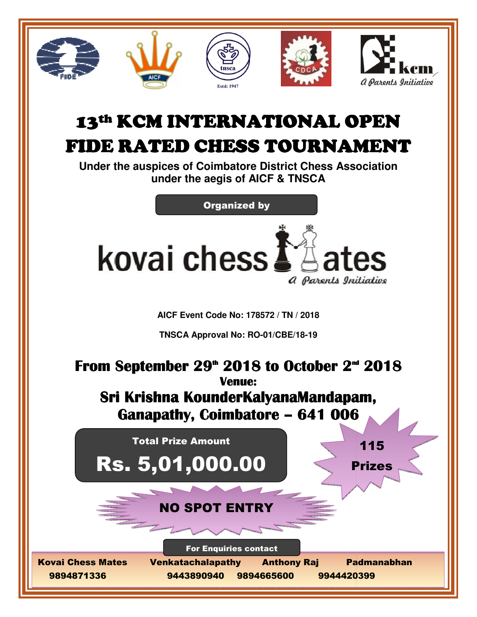

# 13th KCM INTERNATIONAL OPEN

## FIDE RATED CHESS TOURNAMENT RATED CHESS TOURNAMENT

**Under the auspices of Coimbatore District Chess Association under the aegis of AICF & TNSCA**

Organized by



**AICF Event Code No: 178572 / TN / 2018** 

**TNSCA Approval No: TNSCA RO-01/CBE/18-19** 

### From September 29<sup>th</sup> 2018 to October 2<sup>nd</sup> 2018 Sri Krishna KounderKalyanaMandapam, Ganapathy, Coimbatore – 641 006 Total Prize Amount Prize AmountRS. 5,01,000.00 | < Prizes NO SPOT ENTRY Kovai Chess Mates Venkatachalapathy Venkatachalapathy Anthony Raj Padmanabhan 9894871336 **Venue:**  9443890940 9894665600 9944420399 For Enquiries contact 115 Anthony Raj Padmanabhan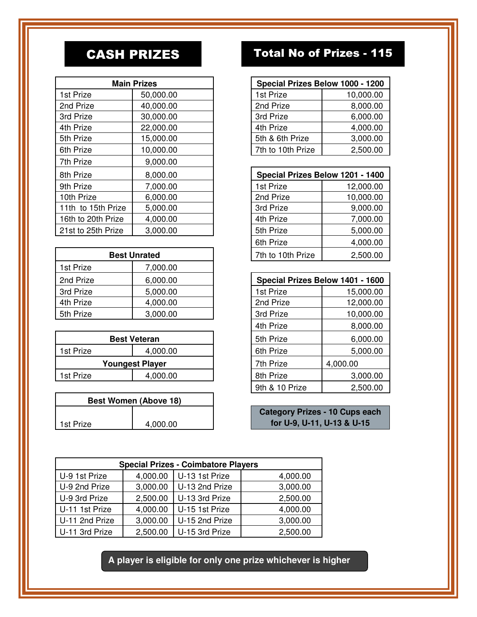| <b>Main Prizes</b> |           | Special Prizes Below 1000 - 1200 |           |
|--------------------|-----------|----------------------------------|-----------|
| 1st Prize          | 50,000.00 | 1st Prize                        | 10,000.00 |
| 2nd Prize          | 40,000.00 | 2nd Prize                        | 8,000.00  |
| 3rd Prize          | 30,000.00 | 3rd Prize                        | 6,000.00  |
| 4th Prize          | 22,000.00 | 4th Prize                        | 4,000.00  |
| 5th Prize          | 15,000.00 | 5th & 6th Prize                  | 3,000.00  |
| 6th Prize          | 10,000.00 | 7th to 10th Prize                | 2,500.00  |
| 7th Prize          | 9,000.00  |                                  |           |
| 8th Prize          | 8,000.00  | Special Prizes Below 1201 - 1400 |           |
| 9th Prize          | 7,000.00  | 1st Prize                        | 12,000.00 |
| 10th Prize         | 6,000.00  | 2nd Prize                        | 10,000.00 |
| 11th to 15th Prize | 5,000.00  | 3rd Prize                        | 9,000.00  |
| 16th to 20th Prize | 4,000.00  | 4th Prize                        | 7,000.00  |
| 21st to 25th Prize | 3,000.00  | 5th Prize                        | 5,000.00  |

| <b>Best Unrated</b> |          | 7th to 10th Prize                | 2,500.00  |
|---------------------|----------|----------------------------------|-----------|
| 1st Prize           | 7,000.00 |                                  |           |
| 2nd Prize           | 6,000.00 | Special Prizes Below 1401 - 1600 |           |
| 3rd Prize           | 5,000.00 | 1st Prize                        | 15,000.00 |
| 4th Prize           | 4,000.00 | 2nd Prize                        | 12,000.00 |
| 5th Prize           | 3,000.00 | 3rd Prize                        | 10,000.00 |

| <b>Best Veteran</b>    |          | 5th Prize | 6,000.00 |
|------------------------|----------|-----------|----------|
| 1st Prize              | 4.000.00 | 6th Prize | 5.000.00 |
| <b>Youngest Player</b> |          | 7th Prize | 4,000.00 |
| 1st Prize              | 4,000.00 | 8th Prize | 3,000.00 |
|                        |          |           |          |

| <b>Best Women (Above 18)</b> |          |  |  |  |
|------------------------------|----------|--|--|--|
|                              |          |  |  |  |
| 1st Prize                    | 4,000.00 |  |  |  |

### CASH PRIZES Total No of Prizes - 115

| <b>Main Prizes</b> | Special Prizes Below 1000 - 1200 |           |
|--------------------|----------------------------------|-----------|
| 50,000.00          | 1st Prize                        | 10,000.00 |
| 40,000.00          | 2nd Prize                        | 8,000.00  |
| 30,000.00          | 3rd Prize                        | 6,000.00  |
| 22,000.00          | 4th Prize                        | 4,000.00  |
| 15,000.00          | 5th & 6th Prize                  | 3,000.00  |
| 10,000.00          | 7th to 10th Prize                | 2,500.00  |

|                     | 8,000.00 | Special Prizes Below 1201 - 1400 |           |
|---------------------|----------|----------------------------------|-----------|
|                     | 7,000.00 | 1st Prize                        | 12,000.00 |
|                     | 6,000.00 | 2nd Prize                        | 10,000.00 |
| Prize               | 5,000.00 | 3rd Prize                        | 9,000.00  |
| rize                | 4,000.00 | 4th Prize                        | 7,000.00  |
| rize                | 3,000.00 | 5th Prize                        | 5,000.00  |
|                     |          | 6th Prize                        | 4,000.00  |
| <b>Best Unrated</b> |          | 7th to 10th Prize                | 2,500.00  |

| 6,000.00              |  | Special Prizes Below 1401 - 1600 |           |
|-----------------------|--|----------------------------------|-----------|
| 5,000.00              |  | 1st Prize                        | 15,000.00 |
| 4,000.00              |  | 2nd Prize                        | 12,000.00 |
| 3,000.00              |  | 3rd Prize                        | 10,000.00 |
|                       |  | 4th Prize                        | 8,000.00  |
| <b>Best Veteran</b>   |  | 5th Prize                        | 6,000.00  |
| 4,000.00              |  | 6th Prize                        | 5,000.00  |
| <b>Dungest Player</b> |  | 7th Prize                        | 4,000.00  |
| 4,000.00              |  | 8th Prize                        | 3,000.00  |
|                       |  | 9th & 10 Prize                   | 2,500.00  |

**Category Prizes - 10 Cups each for U-9, U-11, U-13 & U-15**

| <b>Special Prizes - Coimbatore Players</b> |          |                |          |
|--------------------------------------------|----------|----------------|----------|
| U-9 1st Prize                              | 4,000.00 | U-13 1st Prize | 4,000.00 |
| U-9 2nd Prize                              | 3,000.00 | U-13 2nd Prize | 3,000.00 |
| U-9 3rd Prize                              | 2,500.00 | U-13 3rd Prize | 2,500.00 |
| U-11 1st Prize                             | 4,000.00 | U-15 1st Prize | 4,000.00 |
| U-11 2nd Prize                             | 3,000.00 | U-15 2nd Prize | 3,000.00 |
| U-11 3rd Prize                             | 2,500.00 | U-15 3rd Prize | 2,500.00 |

**A player is eligible for only one prize whichever is higher**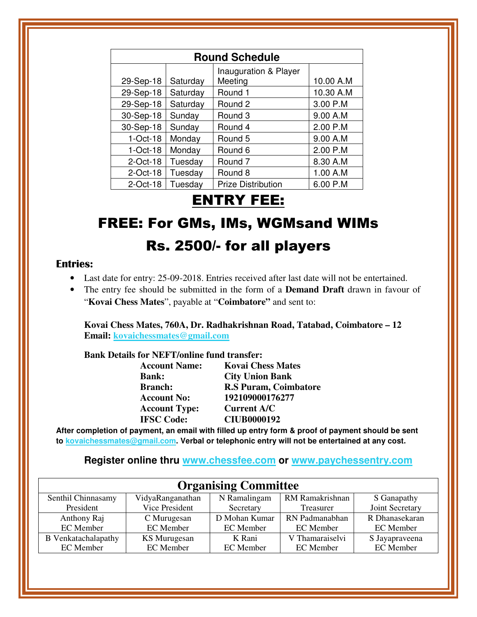| <b>Round Schedule</b> |          |                           |           |
|-----------------------|----------|---------------------------|-----------|
|                       |          | Inauguration & Player     |           |
| 29-Sep-18             | Saturday | Meeting                   | 10.00 A.M |
| 29-Sep-18             | Saturday | Round 1                   | 10.30 A.M |
| 29-Sep-18             | Saturday | Round 2                   | 3.00 P.M  |
| 30-Sep-18             | Sunday   | Round 3                   | 9.00 A.M  |
| 30-Sep-18             | Sunday   | Round 4                   | 2.00 P.M  |
| $1-Oct-18$            | Monday   | Round 5                   | 9.00 A.M  |
| $1-Oct-18$            | Monday   | Round 6                   | 2.00 P.M  |
| $2$ -Oct-18           | Tuesday  | Round <sub>7</sub>        | 8.30 A.M  |
| $2$ -Oct-18           | Tuesday  | Round 8                   | 1.00 A.M  |
| $2$ -Oct-18           | Tuesday  | <b>Prize Distribution</b> | 6.00 P.M  |

### ENTRY FEE:

### FREE: For GMs, IMs, WGMsand WIMs Rs. 2500/- for all players

### **Entries:**

- Last date for entry: 25-09-2018. Entries received after last date will not be entertained.
- The entry fee should be submitted in the form of a **Demand Draft** drawn in favour of "**Kovai Chess Mates**", payable at "**Coimbatore"** and sent to:

**Kovai Chess Mates, 760A, Dr. Radhakrishnan Road, Tatabad, Coimbatore – 12 Email: kovaichessmates@gmail.com**

 **Bank Details for NEFT/online fund transfer:** 

| <b>Account Name:</b> | <b>Kovai Chess Mates</b>     |
|----------------------|------------------------------|
| <b>Bank:</b>         | <b>City Union Bank</b>       |
| <b>Branch:</b>       | <b>R.S Puram, Coimbatore</b> |
| <b>Account No:</b>   | 192109000176277              |
| <b>Account Type:</b> | <b>Current A/C</b>           |
| <b>IFSC Code:</b>    | <b>CIUB0000192</b>           |
|                      |                              |

**After completion of payment, an email with filled up entry form & proof of payment should be sent to kovaichessmates@gmail.com. Verbal or telephonic entry will not be entertained at any cost.** 

**Register online thru www.chessfee.com or www.paychessentry.com**

| <b>Organising Committee</b> |                     |               |                  |                  |
|-----------------------------|---------------------|---------------|------------------|------------------|
| Senthil Chinnasamy          | VidyaRanganathan    | N Ramalingam  | RM Ramakrishnan  | S Ganapathy      |
| President                   | Vice President      | Secretary     | Treasurer        | Joint Secretary  |
| Anthony Raj                 | C Murugesan         | D Mohan Kumar | RN Padmanabhan   | R Dhanasekaran   |
| EC Member                   | <b>EC</b> Member    | EC Member     | <b>EC</b> Member | EC Member        |
| <b>B</b> Venkatachalapathy  | <b>KS</b> Murugesan | K Rani        | V Thamaraiselvi  | S Jayapraveena   |
| EC Member                   | <b>EC</b> Member    | EC Member     | <b>EC</b> Member | <b>EC</b> Member |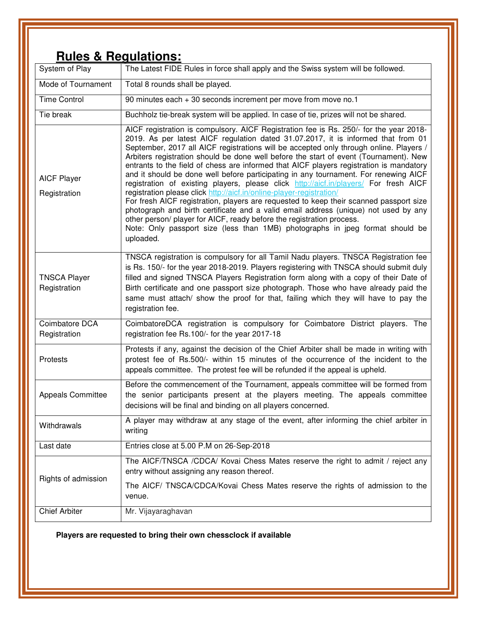### **Rules & Regulations:**

| System of Play                      | The Latest FIDE Rules in force shall apply and the Swiss system will be followed.                                                                                                                                                                                                                                                                                                                                                                                                                                                                                                                                                                                                                                                                                                                                                                                                                                                                                                                                                                                         |
|-------------------------------------|---------------------------------------------------------------------------------------------------------------------------------------------------------------------------------------------------------------------------------------------------------------------------------------------------------------------------------------------------------------------------------------------------------------------------------------------------------------------------------------------------------------------------------------------------------------------------------------------------------------------------------------------------------------------------------------------------------------------------------------------------------------------------------------------------------------------------------------------------------------------------------------------------------------------------------------------------------------------------------------------------------------------------------------------------------------------------|
| Mode of Tournament                  | Total 8 rounds shall be played.                                                                                                                                                                                                                                                                                                                                                                                                                                                                                                                                                                                                                                                                                                                                                                                                                                                                                                                                                                                                                                           |
| <b>Time Control</b>                 | 90 minutes each + 30 seconds increment per move from move no.1                                                                                                                                                                                                                                                                                                                                                                                                                                                                                                                                                                                                                                                                                                                                                                                                                                                                                                                                                                                                            |
| Tie break                           | Buchholz tie-break system will be applied. In case of tie, prizes will not be shared.                                                                                                                                                                                                                                                                                                                                                                                                                                                                                                                                                                                                                                                                                                                                                                                                                                                                                                                                                                                     |
| <b>AICF Player</b><br>Registration  | AICF registration is compulsory. AICF Registration fee is Rs. 250/- for the year 2018-<br>2019. As per latest AICF regulation dated 31.07.2017, it is informed that from 01<br>September, 2017 all AICF registrations will be accepted only through online. Players /<br>Arbiters registration should be done well before the start of event (Tournament). New<br>entrants to the field of chess are informed that AICF players registration is mandatory<br>and it should be done well before participating in any tournament. For renewing AICF<br>registration of existing players, please click http://aicf.in/players/ For fresh AICF<br>registration please click http://aicf.in/online-player-registration/<br>For fresh AICF registration, players are requested to keep their scanned passport size<br>photograph and birth certificate and a valid email address (unique) not used by any<br>other person/player for AICF, ready before the registration process.<br>Note: Only passport size (less than 1MB) photographs in jpeg format should be<br>uploaded. |
| <b>TNSCA Player</b><br>Registration | TNSCA registration is compulsory for all Tamil Nadu players. TNSCA Registration fee<br>is Rs. 150/- for the year 2018-2019. Players registering with TNSCA should submit duly<br>filled and signed TNSCA Players Registration form along with a copy of their Date of<br>Birth certificate and one passport size photograph. Those who have already paid the<br>same must attach/ show the proof for that, failing which they will have to pay the<br>registration fee.                                                                                                                                                                                                                                                                                                                                                                                                                                                                                                                                                                                                   |
| Coimbatore DCA<br>Registration      | CoimbatoreDCA registration is compulsory for Coimbatore District players. The<br>registration fee Rs.100/- for the year 2017-18                                                                                                                                                                                                                                                                                                                                                                                                                                                                                                                                                                                                                                                                                                                                                                                                                                                                                                                                           |
| Protests                            | Protests if any, against the decision of the Chief Arbiter shall be made in writing with<br>protest fee of Rs.500/- within 15 minutes of the occurrence of the incident to the<br>appeals committee. The protest fee will be refunded if the appeal is upheld.                                                                                                                                                                                                                                                                                                                                                                                                                                                                                                                                                                                                                                                                                                                                                                                                            |
| <b>Appeals Committee</b>            | Before the commencement of the Tournament, appeals committee will be formed from<br>the senior participants present at the players meeting. The appeals committee<br>decisions will be final and binding on all players concerned.                                                                                                                                                                                                                                                                                                                                                                                                                                                                                                                                                                                                                                                                                                                                                                                                                                        |
| Withdrawals                         | A player may withdraw at any stage of the event, after informing the chief arbiter in<br>writing                                                                                                                                                                                                                                                                                                                                                                                                                                                                                                                                                                                                                                                                                                                                                                                                                                                                                                                                                                          |
| Last date                           | Entries close at 5.00 P.M on 26-Sep-2018                                                                                                                                                                                                                                                                                                                                                                                                                                                                                                                                                                                                                                                                                                                                                                                                                                                                                                                                                                                                                                  |
| Rights of admission                 | The AICF/TNSCA /CDCA/ Kovai Chess Mates reserve the right to admit / reject any<br>entry without assigning any reason thereof.                                                                                                                                                                                                                                                                                                                                                                                                                                                                                                                                                                                                                                                                                                                                                                                                                                                                                                                                            |
|                                     | The AICF/ TNSCA/CDCA/Kovai Chess Mates reserve the rights of admission to the<br>venue.                                                                                                                                                                                                                                                                                                                                                                                                                                                                                                                                                                                                                                                                                                                                                                                                                                                                                                                                                                                   |
| <b>Chief Arbiter</b>                | Mr. Vijayaraghavan                                                                                                                                                                                                                                                                                                                                                                                                                                                                                                                                                                                                                                                                                                                                                                                                                                                                                                                                                                                                                                                        |

**Players are requested to bring their own chessclock if available**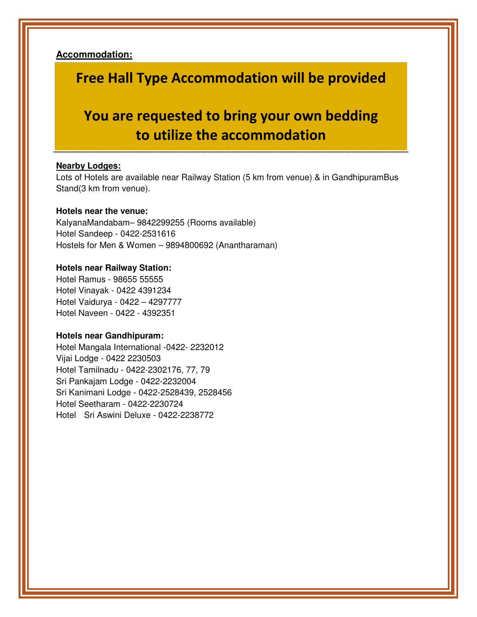**Accommodation:**

### **Free Hall Type Accommodation will be provided**

### **You are requested to bring your own bedding to utilize the accommodation**

#### **Nearby Lodges:**

Lots of Hotels are available near Railway Station (5 km from venue) & in GandhipuramBus Stand(3 km from venue).

#### **Hotels near the venue:**

KalyanaMandabam– 9842299255 (Rooms available) Hotel Sandeep - 0422-2531616 Hostels for Men & Women – 9894800692 (Anantharaman)

#### **Hotels near Railway Station:**

Hotel Ramus - 98655 55555 Hotel Vinayak - 0422 4391234 Hotel Vaidurya - 0422 – 4297777 Hotel Naveen - 0422 - 4392351

#### **Hotels near Gandhipuram:**

Hotel Mangala International -0422- 2232012 Vijai Lodge - 0422 2230503 Hotel Tamilnadu - 0422-2302176, 77, 79 Sri Pankajam Lodge - 0422-2232004 Sri Kanimani Lodge - 0422-2528439, 2528456 Hotel Seetharam - 0422-2230724 Hotel Sri Aswini Deluxe - 0422-2238772